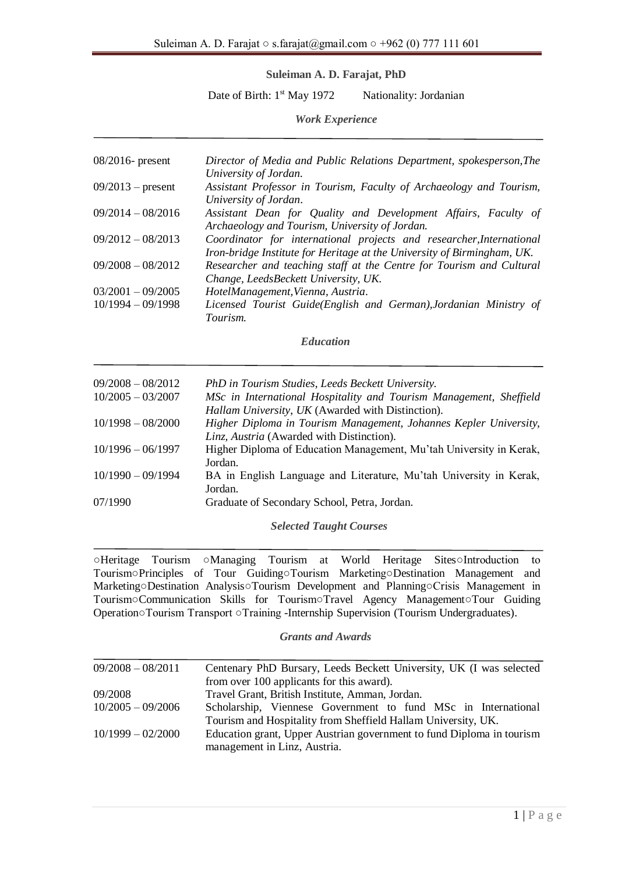## **Suleiman A. D. Farajat, PhD**

Date of Birth: 1<sup>st</sup> May 1972 Nationality: Jordanian

## *Work Experience*

| $08/2016$ - present | Director of Media and Public Relations Department, spokesperson, The<br>University of Jordan.                                                   |
|---------------------|-------------------------------------------------------------------------------------------------------------------------------------------------|
| $09/2013$ – present | Assistant Professor in Tourism, Faculty of Archaeology and Tourism,<br>University of Jordan.                                                    |
| $09/2014 - 08/2016$ | Assistant Dean for Quality and Development Affairs, Faculty of<br>Archaeology and Tourism, University of Jordan.                                |
| $09/2012 - 08/2013$ | Coordinator for international projects and researcher, International                                                                            |
| $09/2008 - 08/2012$ | Iron-bridge Institute for Heritage at the University of Birmingham, UK.<br>Researcher and teaching staff at the Centre for Tourism and Cultural |
| $03/2001 - 09/2005$ | Change, LeedsBeckett University, UK.<br>HotelManagement, Vienna, Austria.                                                                       |
| $10/1994 - 09/1998$ | Licensed Tourist Guide(English and German), Jordanian Ministry of<br>Tourism.                                                                   |

*Education*

| $09/2008 - 08/2012$ | PhD in Tourism Studies, Leeds Beckett University.                                                                       |
|---------------------|-------------------------------------------------------------------------------------------------------------------------|
| $10/2005 - 03/2007$ | MSc in International Hospitality and Tourism Management, Sheffield<br>Hallam University, UK (Awarded with Distinction). |
| $10/1998 - 08/2000$ | Higher Diploma in Tourism Management, Johannes Kepler University,<br>Linz, Austria (Awarded with Distinction).          |
| $10/1996 - 06/1997$ | Higher Diploma of Education Management, Mu'tah University in Kerak,                                                     |
|                     | Jordan.                                                                                                                 |
| $10/1990 - 09/1994$ | BA in English Language and Literature, Mu'tah University in Kerak,<br>Jordan.                                           |
| 07/1990             | Graduate of Secondary School, Petra, Jordan.                                                                            |

*Selected Taught Courses*

○Heritage Tourism ○Managing Tourism at World Heritage Sites○Introduction to Tourism○Principles of Tour Guiding○Tourism Marketing○Destination Management and Marketing○Destination Analysis○Tourism Development and Planning○Crisis Management in Tourism○Communication Skills for Tourism○Travel Agency Management○Tour Guiding Operation○Tourism Transport ○Training -Internship Supervision (Tourism Undergraduates).

*Grants and Awards*

| $09/2008 - 08/2011$ | Centenary PhD Bursary, Leeds Beckett University, UK (I was selected                                   |  |  |
|---------------------|-------------------------------------------------------------------------------------------------------|--|--|
|                     | from over 100 applicants for this award).                                                             |  |  |
| 09/2008             | Travel Grant, British Institute, Amman, Jordan.                                                       |  |  |
| $10/2005 - 09/2006$ | Scholarship, Viennese Government to fund MSc in International                                         |  |  |
|                     | Tourism and Hospitality from Sheffield Hallam University, UK.                                         |  |  |
| $10/1999 - 02/2000$ | Education grant, Upper Austrian government to fund Diploma in tourism<br>management in Linz, Austria. |  |  |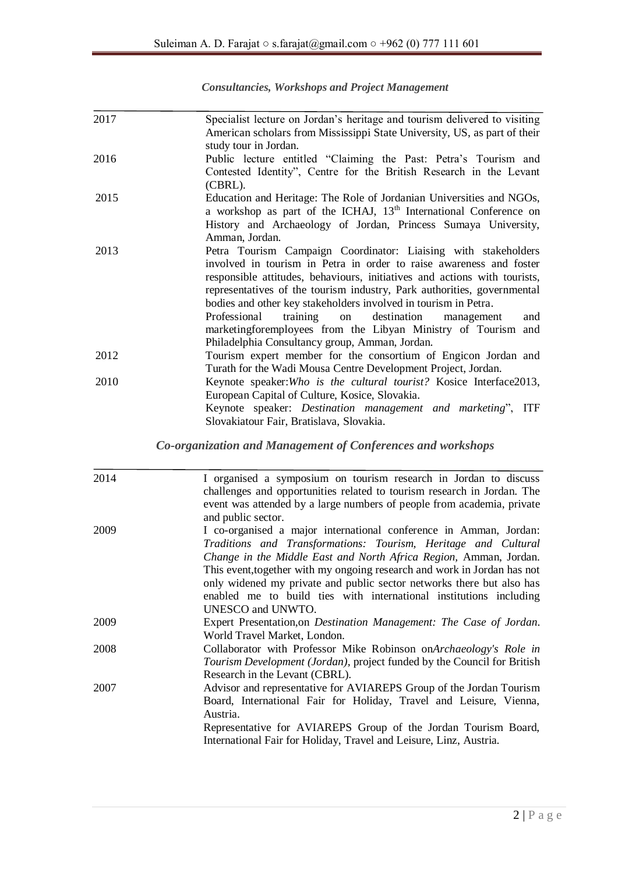| <b>Consultancies, Workshops and Project Management</b> |  |  |  |
|--------------------------------------------------------|--|--|--|
|--------------------------------------------------------|--|--|--|

| 2017 | Specialist lecture on Jordan's heritage and tourism delivered to visiting<br>American scholars from Mississippi State University, US, as part of their<br>study tour in Jordan.                                                                                                                                                                                                                                                                                                                                                                     |
|------|-----------------------------------------------------------------------------------------------------------------------------------------------------------------------------------------------------------------------------------------------------------------------------------------------------------------------------------------------------------------------------------------------------------------------------------------------------------------------------------------------------------------------------------------------------|
| 2016 | Public lecture entitled "Claiming the Past: Petra's Tourism and<br>Contested Identity", Centre for the British Research in the Levant<br>(CBRL).                                                                                                                                                                                                                                                                                                                                                                                                    |
| 2015 | Education and Heritage: The Role of Jordanian Universities and NGOs,<br>a workshop as part of the ICHAJ, 13 <sup>th</sup> International Conference on<br>History and Archaeology of Jordan, Princess Sumaya University,<br>Amman, Jordan.                                                                                                                                                                                                                                                                                                           |
| 2013 | Petra Tourism Campaign Coordinator: Liaising with stakeholders<br>involved in tourism in Petra in order to raise awareness and foster<br>responsible attitudes, behaviours, initiatives and actions with tourists,<br>representatives of the tourism industry, Park authorities, governmental<br>bodies and other key stakeholders involved in tourism in Petra.<br>Professional<br>training on destination<br>management<br>and<br>marketingforemployees from the Libyan Ministry of Tourism and<br>Philadelphia Consultancy group, Amman, Jordan. |
| 2012 | Tourism expert member for the consortium of Engicon Jordan and<br>Turath for the Wadi Mousa Centre Development Project, Jordan.                                                                                                                                                                                                                                                                                                                                                                                                                     |
| 2010 | Keynote speaker: Who is the cultural tourist? Kosice Interface 2013,<br>European Capital of Culture, Kosice, Slovakia.<br>Keynote speaker: <i>Destination management and marketing</i> ", ITF<br>Slovakiatour Fair, Bratislava, Slovakia.                                                                                                                                                                                                                                                                                                           |

*Co-organization and Management of Conferences and workshops*

| 2014 | I organised a symposium on tourism research in Jordan to discuss<br>challenges and opportunities related to tourism research in Jordan. The<br>event was attended by a large numbers of people from academia, private<br>and public sector.                                                                                                                                                                                                              |
|------|----------------------------------------------------------------------------------------------------------------------------------------------------------------------------------------------------------------------------------------------------------------------------------------------------------------------------------------------------------------------------------------------------------------------------------------------------------|
| 2009 | I co-organised a major international conference in Amman, Jordan:<br>Traditions and Transformations: Tourism, Heritage and Cultural<br>Change in the Middle East and North Africa Region, Amman, Jordan.<br>This event, together with my ongoing research and work in Jordan has not<br>only widened my private and public sector networks there but also has<br>enabled me to build ties with international institutions including<br>UNESCO and UNWTO. |
| 2009 | Expert Presentation, on Destination Management: The Case of Jordan.<br>World Travel Market, London.                                                                                                                                                                                                                                                                                                                                                      |
| 2008 | Collaborator with Professor Mike Robinson onArchaeology's Role in<br>Tourism Development (Jordan), project funded by the Council for British<br>Research in the Levant (CBRL).                                                                                                                                                                                                                                                                           |
| 2007 | Advisor and representative for AVIAREPS Group of the Jordan Tourism<br>Board, International Fair for Holiday, Travel and Leisure, Vienna,<br>Austria.<br>Representative for AVIAREPS Group of the Jordan Tourism Board,<br>International Fair for Holiday, Travel and Leisure, Linz, Austria.                                                                                                                                                            |